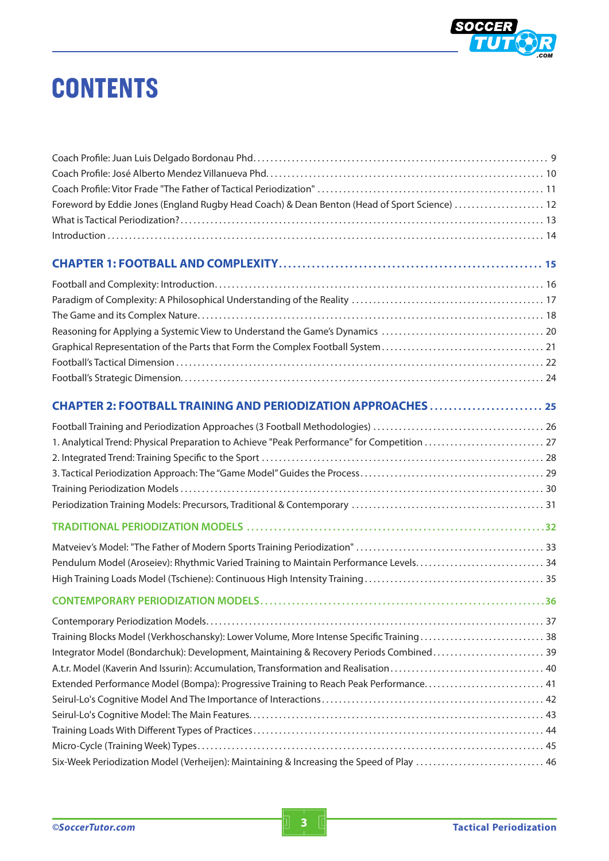

## **CONTENTS**

| Foreword by Eddie Jones (England Rugby Head Coach) & Dean Benton (Head of Sport Science)  12 |  |
|----------------------------------------------------------------------------------------------|--|
|                                                                                              |  |
|                                                                                              |  |
|                                                                                              |  |
|                                                                                              |  |
|                                                                                              |  |
|                                                                                              |  |
|                                                                                              |  |
|                                                                                              |  |
|                                                                                              |  |
|                                                                                              |  |
|                                                                                              |  |
|                                                                                              |  |
| 1. Analytical Trend: Physical Preparation to Achieve "Peak Performance" for Competition  27  |  |
|                                                                                              |  |
|                                                                                              |  |
|                                                                                              |  |
|                                                                                              |  |
|                                                                                              |  |
|                                                                                              |  |
| Pendulum Model (Aroseiev): Rhythmic Varied Training to Maintain Performance Levels 34        |  |
|                                                                                              |  |
|                                                                                              |  |
|                                                                                              |  |
| Training Blocks Model (Verkhoschansky): Lower Volume, More Intense Specific Training 38      |  |
| Integrator Model (Bondarchuk): Development, Maintaining & Recovery Periods Combined 39       |  |
|                                                                                              |  |
| Extended Performance Model (Bompa): Progressive Training to Reach Peak Performance 41        |  |
|                                                                                              |  |
|                                                                                              |  |
|                                                                                              |  |
|                                                                                              |  |
| Six-Week Periodization Model (Verheijen): Maintaining & Increasing the Speed of Play  46     |  |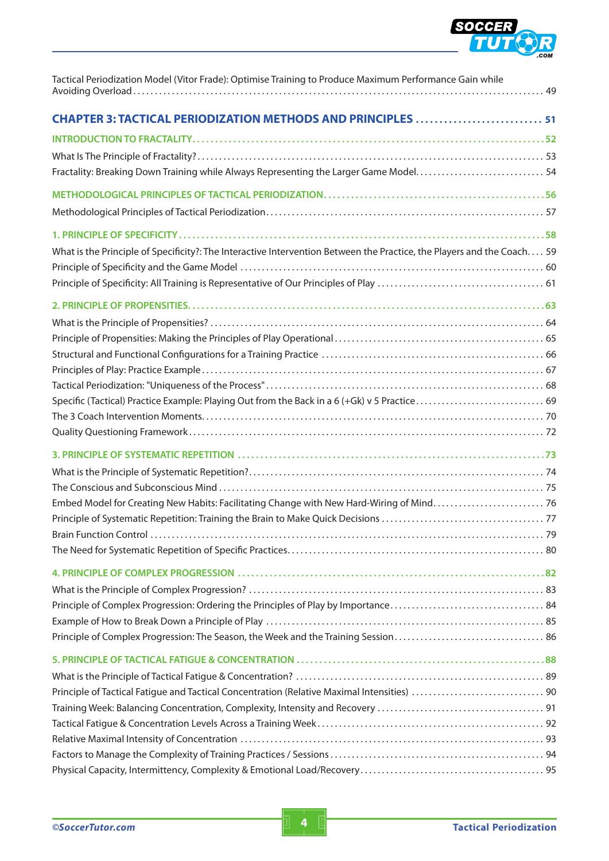

| Tactical Periodization Model (Vitor Frade): Optimise Training to Produce Maximum Performance Gain while                |
|------------------------------------------------------------------------------------------------------------------------|
| <b>CHAPTER 3: TACTICAL PERIODIZATION METHODS AND PRINCIPLES 51</b>                                                     |
|                                                                                                                        |
|                                                                                                                        |
| Fractality: Breaking Down Training while Always Representing the Larger Game Model 54                                  |
|                                                                                                                        |
|                                                                                                                        |
|                                                                                                                        |
| What is the Principle of Specificity?: The Interactive Intervention Between the Practice, the Players and the Coach 59 |
|                                                                                                                        |
|                                                                                                                        |
|                                                                                                                        |
|                                                                                                                        |
|                                                                                                                        |
|                                                                                                                        |
|                                                                                                                        |
|                                                                                                                        |
|                                                                                                                        |
|                                                                                                                        |
|                                                                                                                        |
|                                                                                                                        |
|                                                                                                                        |
|                                                                                                                        |
|                                                                                                                        |
|                                                                                                                        |
|                                                                                                                        |
|                                                                                                                        |
|                                                                                                                        |
|                                                                                                                        |
|                                                                                                                        |
|                                                                                                                        |
|                                                                                                                        |
|                                                                                                                        |
|                                                                                                                        |
|                                                                                                                        |
|                                                                                                                        |
|                                                                                                                        |
|                                                                                                                        |
|                                                                                                                        |
|                                                                                                                        |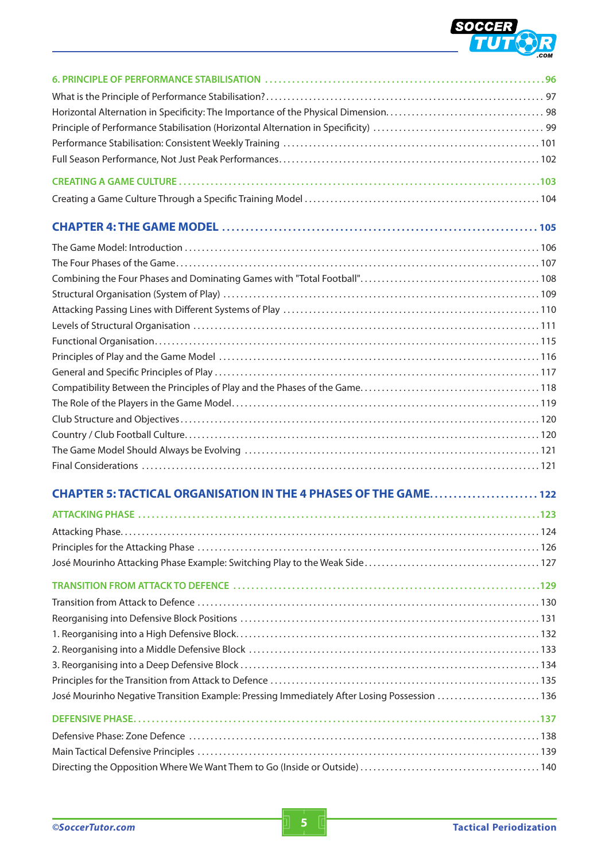

| CHAPTER 5: TACTICAL ORGANISATION IN THE 4 PHASES OF THE GAME 122                            |  |
|---------------------------------------------------------------------------------------------|--|
|                                                                                             |  |
|                                                                                             |  |
|                                                                                             |  |
|                                                                                             |  |
|                                                                                             |  |
|                                                                                             |  |
|                                                                                             |  |
|                                                                                             |  |
|                                                                                             |  |
|                                                                                             |  |
|                                                                                             |  |
| José Mourinho Negative Transition Example: Pressing Immediately After Losing Possession 136 |  |
|                                                                                             |  |
|                                                                                             |  |
|                                                                                             |  |
|                                                                                             |  |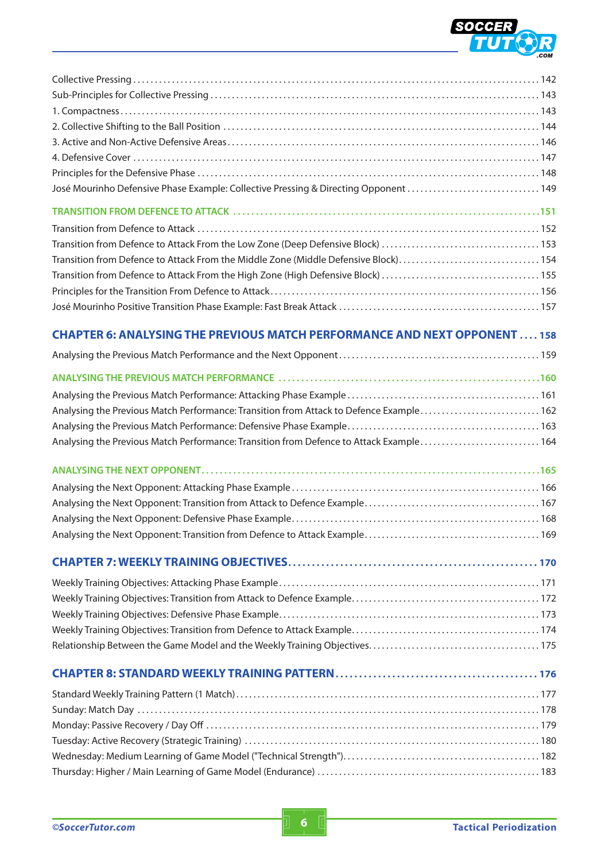

| José Mourinho Defensive Phase Example: Collective Pressing & Directing Opponent 149    |
|----------------------------------------------------------------------------------------|
|                                                                                        |
| Transition from Defence to Attack From the Middle Zone (Middle Defensive Block)154     |
| <b>CHAPTER 6: ANALYSING THE PREVIOUS MATCH PERFORMANCE AND NEXT OPPONENT 158</b>       |
|                                                                                        |
|                                                                                        |
|                                                                                        |
| Analysing the Previous Match Performance: Transition from Attack to Defence Example162 |
|                                                                                        |
| Analysing the Previous Match Performance: Transition from Defence to Attack Example164 |
|                                                                                        |
|                                                                                        |
|                                                                                        |
|                                                                                        |
|                                                                                        |
|                                                                                        |
|                                                                                        |
|                                                                                        |
|                                                                                        |
|                                                                                        |
|                                                                                        |
|                                                                                        |
|                                                                                        |
|                                                                                        |
|                                                                                        |
|                                                                                        |
|                                                                                        |
|                                                                                        |
|                                                                                        |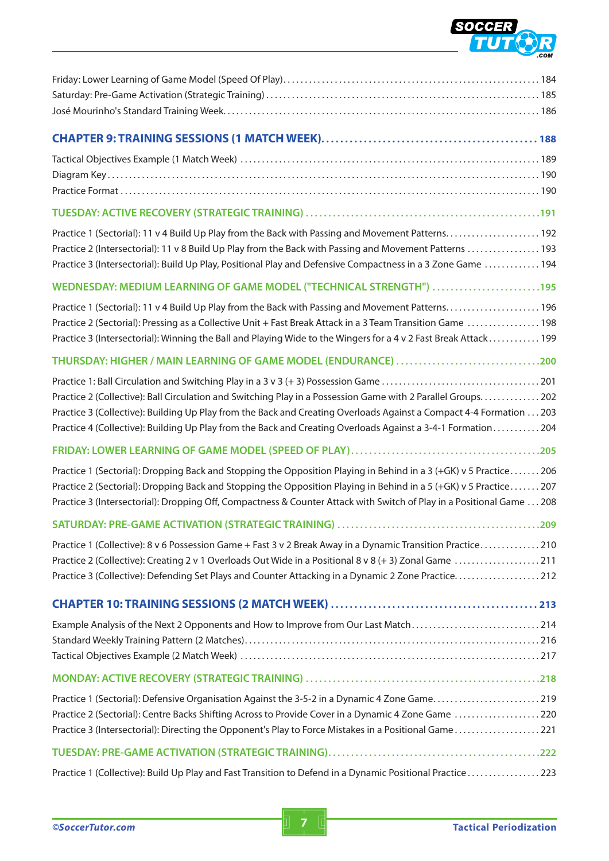

| Practice 2 (Intersectorial): 11 v 8 Build Up Play from the Back with Passing and Movement Patterns  193<br>Practice 3 (Intersectorial): Build Up Play, Positional Play and Defensive Compactness in a 3 Zone Game  194                                                                                                                                        |
|---------------------------------------------------------------------------------------------------------------------------------------------------------------------------------------------------------------------------------------------------------------------------------------------------------------------------------------------------------------|
| WEDNESDAY: MEDIUM LEARNING OF GAME MODEL ("TECHNICAL STRENGTH") 195                                                                                                                                                                                                                                                                                           |
| Practice 2 (Sectorial): Pressing as a Collective Unit + Fast Break Attack in a 3 Team Transition Game  198<br>Practice 3 (Intersectorial): Winning the Ball and Playing Wide to the Wingers for a 4 v 2 Fast Break Attack 199                                                                                                                                 |
| THURSDAY: HIGHER / MAIN LEARNING OF GAME MODEL (ENDURANCE) 200                                                                                                                                                                                                                                                                                                |
| Practice 2 (Collective): Ball Circulation and Switching Play in a Possession Game with 2 Parallel Groups202<br>Practice 3 (Collective): Building Up Play from the Back and Creating Overloads Against a Compact 4-4 Formation  203<br>Practice 4 (Collective): Building Up Play from the Back and Creating Overloads Against a 3-4-1 Formation204             |
|                                                                                                                                                                                                                                                                                                                                                               |
| Practice 1 (Sectorial): Dropping Back and Stopping the Opposition Playing in Behind in a 3 (+GK) v 5 Practice206<br>Practice 2 (Sectorial): Dropping Back and Stopping the Opposition Playing in Behind in a 5 (+GK) v 5 Practice207<br>Practice 3 (Intersectorial): Dropping Off, Compactness & Counter Attack with Switch of Play in a Positional Game  208 |
|                                                                                                                                                                                                                                                                                                                                                               |
| Practice 1 (Collective): 8 v 6 Possession Game + Fast 3 v 2 Break Away in a Dynamic Transition Practice210<br>Practice 2 (Collective): Creating 2 v 1 Overloads Out Wide in a Positional 8 v 8 (+ 3) Zonal Game 211<br>Practice 3 (Collective): Defending Set Plays and Counter Attacking in a Dynamic 2 Zone Practice212                                     |
|                                                                                                                                                                                                                                                                                                                                                               |
| Example Analysis of the Next 2 Opponents and How to Improve from Our Last Match214                                                                                                                                                                                                                                                                            |
|                                                                                                                                                                                                                                                                                                                                                               |
| Practice 1 (Sectorial): Defensive Organisation Against the 3-5-2 in a Dynamic 4 Zone Game219<br>Practice 2 (Sectorial): Centre Backs Shifting Across to Provide Cover in a Dynamic 4 Zone Game 220<br>Practice 3 (Intersectorial): Directing the Opponent's Play to Force Mistakes in a Positional Game221                                                    |
|                                                                                                                                                                                                                                                                                                                                                               |
| Practice 1 (Collective): Build Up Play and Fast Transition to Defend in a Dynamic Positional Practice223                                                                                                                                                                                                                                                      |